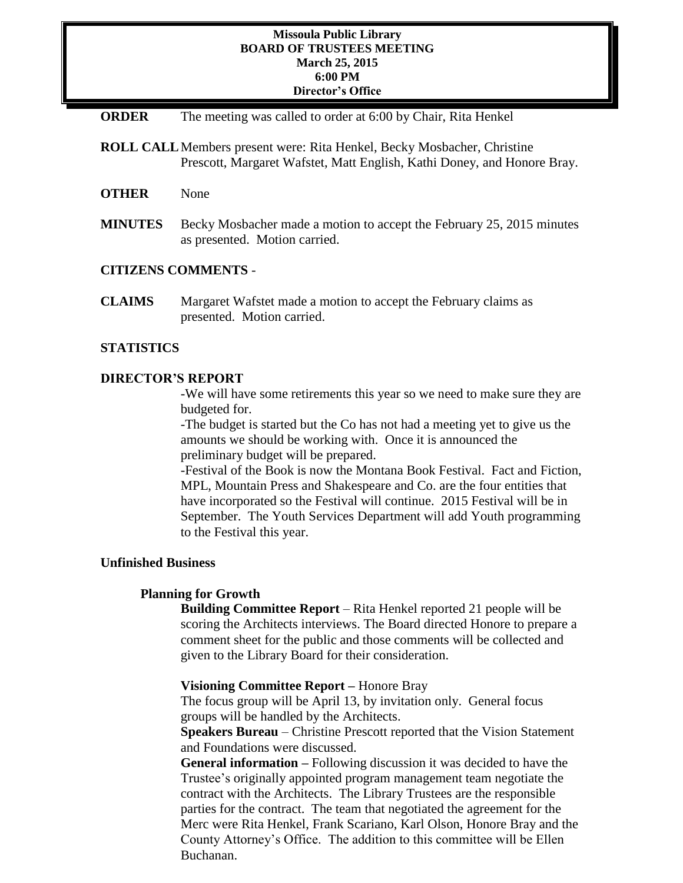## **Missoula Public Library BOARD OF TRUSTEES MEETING March 25, 2015 6:00 PM Director's Office**

- **ORDER** The meeting was called to order at 6:00 by Chair, Rita Henkel
- **ROLL CALL**Members present were: Rita Henkel, Becky Mosbacher, Christine Prescott, Margaret Wafstet, Matt English, Kathi Doney, and Honore Bray.
- **OTHER** None
- **MINUTES** Becky Mosbacher made a motion to accept the February 25, 2015 minutes as presented. Motion carried.

### **CITIZENS COMMENTS** -

**CLAIMS** Margaret Wafstet made a motion to accept the February claims as presented. Motion carried.

### **STATISTICS**

### **DIRECTOR'S REPORT**

-We will have some retirements this year so we need to make sure they are budgeted for.

-The budget is started but the Co has not had a meeting yet to give us the amounts we should be working with. Once it is announced the preliminary budget will be prepared.

-Festival of the Book is now the Montana Book Festival. Fact and Fiction, MPL, Mountain Press and Shakespeare and Co. are the four entities that have incorporated so the Festival will continue. 2015 Festival will be in September. The Youth Services Department will add Youth programming to the Festival this year.

### **Unfinished Business**

#### **Planning for Growth**

**Building Committee Report** – Rita Henkel reported 21 people will be scoring the Architects interviews. The Board directed Honore to prepare a comment sheet for the public and those comments will be collected and given to the Library Board for their consideration.

#### **Visioning Committee Report –** Honore Bray

The focus group will be April 13, by invitation only. General focus groups will be handled by the Architects.

**Speakers Bureau** – Christine Prescott reported that the Vision Statement and Foundations were discussed.

**General information –** Following discussion it was decided to have the Trustee's originally appointed program management team negotiate the contract with the Architects. The Library Trustees are the responsible parties for the contract. The team that negotiated the agreement for the Merc were Rita Henkel, Frank Scariano, Karl Olson, Honore Bray and the County Attorney's Office. The addition to this committee will be Ellen Buchanan.